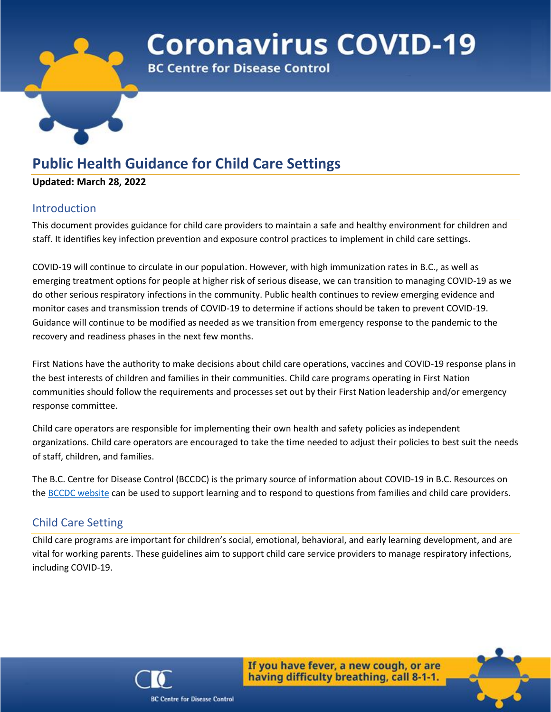

# **Coronavirus COVID-19**

**BC Centre for Disease Control** 

# **Public Health Guidance for Child Care Settings**

### **Updated: March 28, 2022**

# Introduction

This document provides guidance for child care providers to maintain a safe and healthy environment for children and staff. It identifies key infection prevention and exposure control practices to implement in child care settings.

COVID-19 will continue to circulate in our population. However, with high immunization rates in B.C., as well as emerging treatment options for people at higher risk of serious disease, we can transition to managing COVID-19 as we do other serious respiratory infections in the community. Public health continues to review emerging evidence and monitor cases and transmission trends of COVID-19 to determine if actions should be taken to prevent COVID-19. Guidance will continue to be modified as needed as we transition from emergency response to the pandemic to the recovery and readiness phases in the next few months.

First Nations have the authority to make decisions about child care operations, vaccines and COVID-19 response plans in the best interests of children and families in their communities. Child care programs operating in First Nation communities should follow the requirements and processes set out by their First Nation leadership and/or emergency response committee.

Child care operators are responsible for implementing their own health and safety policies as independent organizations. Child care operators are encouraged to take the time needed to adjust their policies to best suit the needs of staff, children, and families.

The B.C. Centre for Disease Control (BCCDC) is the primary source of information about COVID-19 in B.C. Resources on the [BCCDC website](http://www.bccdc.ca/) can be used to support learning and to respond to questions from families and child care providers.

# Child Care Setting

Child care programs are important for children's social, emotional, behavioral, and early learning development, and are vital for working parents. These guidelines aim to support child care service providers to manage respiratory infections, including COVID-19.



If you have fever, a new cough, or are having difficulty breathing, call 8-1-1.

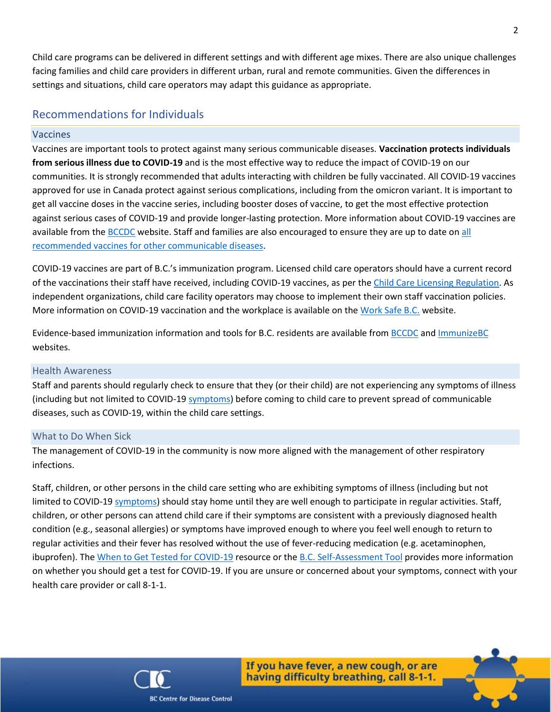Child care programs can be delivered in different settings and with different age mixes. There are also unique challenges facing families and child care providers in different urban, rural and remote communities. Given the differences in settings and situations, child care operators may adapt this guidance as appropriate.

## Recommendations for Individuals

#### Vaccines

Vaccines are important tools to protect against many serious communicable diseases. **Vaccination protects individuals from serious illness due to COVID-19** and is the most effective way to reduce the impact of COVID-19 on our communities. It is strongly recommended that adults interacting with children be fully vaccinated. All COVID-19 vaccines approved for use in Canada protect against serious complications, including from the omicron variant. It is important to get all vaccine doses in the vaccine series, including booster doses of vaccine, to get the most effective protection against serious cases of COVID-19 and provide longer-lasting protection. More information about COVID-19 vaccines are available from the [BCCDC](http://www.bccdc.ca/health-info/diseases-conditions/covid-19/covid-19-vaccine) website. Staff and families are also encouraged to ensure they are up to date on all [recommended vaccines for other communicable diseases.](https://immunizebc.ca/who-and-when)

COVID-19 vaccines are part of B.C.'s immunization program. Licensed child care operators should have a current record of the vaccinations their staff have received, including COVID-19 vaccines, as per the [Child Care Licensing Regulation.](https://www.bclaws.gov.bc.ca/civix/document/id/complete/statreg/332_2007#section21) As independent organizations, child care facility operators may choose to implement their own staff vaccination policies. More information on COVID-19 vaccination and the workplace is available on the [Work Safe B.C.](https://www.worksafebc.com/en/covid-19/vaccination-and-the-workplace) website.

Evidence-based immunization information and tools for B.C. residents are available fro[m BCCDC](http://www.bccdc.ca/health-info/diseases-conditions/covid-19/covid-19-vaccine) an[d ImmunizeBC](https://immunizebc.ca/covid-19) websites.

#### Health Awareness

Staff and parents should regularly check to ensure that they (or their child) are not experiencing any symptoms of illness (including but not limited to COVID-1[9 symptoms\)](http://www.bccdc.ca/health-info/diseases-conditions/covid-19/about-covid-19/symptoms) before coming to child care to prevent spread of communicable diseases, such as COVID-19, within the child care settings.

#### <span id="page-1-0"></span>What to Do When Sick

The management of COVID-19 in the community is now more aligned with the management of other respiratory infections.

Staff, children, or other persons in the child care setting who are exhibiting symptoms of illness (including but not limited to COVID-1[9 symptoms\)](http://www.bccdc.ca/health-info/diseases-conditions/covid-19/about-covid-19/symptoms) should stay home until they are well enough to participate in regular activities. Staff, children, or other persons can attend child care if their symptoms are consistent with a previously diagnosed health condition (e.g., seasonal allergies) or symptoms have improved enough to where you feel well enough to return to regular activities and their fever has resolved without the use of fever-reducing medication (e.g. acetaminophen, ibuprofen). The [When to Get Tested for COVID-19](http://www.bccdc.ca/health-info/diseases-conditions/covid-19/testing/when-to-get-a-covid-19-test) resource or the B.C. [Self-Assessment Tool](https://bc.thrive.health/) provides more information on whether you should get a test for COVID-19. If you are unsure or concerned about your symptoms, connect with your health care provider or call 8-1-1.



If you have fever, a new cough, or are

having difficulty breathing, call 8-1-1.



**BC Centre for Disease Control**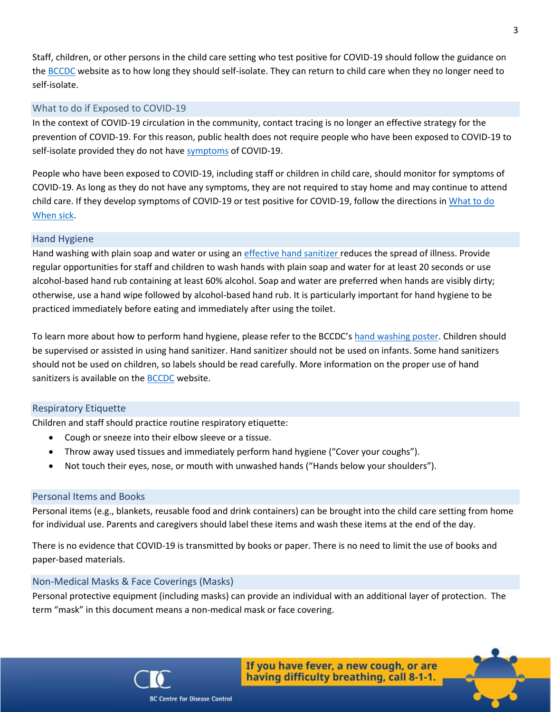Staff, children, or other persons in the child care setting who test positive for COVID-19 should follow the guidance on the [BCCDC](http://www.bccdc.ca/health-info/diseases-conditions/covid-19/if-you-have-covid-19) website as to how long they should self-isolate. They can return to child care when they no longer need to self-isolate.

#### What to do if Exposed to COVID-19

In the context of COVID-19 circulation in the community, contact tracing is no longer an effective strategy for the prevention of COVID-19. For this reason, public health does not require people who have been exposed to COVID-19 to self-isolate provided they do not hav[e symptoms](http://www.bccdc.ca/health-info/diseases-conditions/covid-19/about-covid-19/symptoms) of COVID-19.

People who have been exposed to COVID-19, including staff or children in child care, should monitor for symptoms of COVID-19. As long as they do not have any symptoms, they are not required to stay home and may continue to attend child care. If they develop symptoms of COVID-19 or test positive for COVID-19, follow the directions in [What to do](#page-1-0)  [When sick.](#page-1-0)

#### Hand Hygiene

Hand washing with plain soap and water or using an *effective hand sanitizer* reduces the spread of illness. Provide regular opportunities for staff and children to wash hands with plain soap and water for at least 20 seconds or use alcohol-based hand rub containing at least 60% alcohol. Soap and water are preferred when hands are visibly dirty; otherwise, use a hand wipe followed by alcohol-based hand rub. It is particularly important for hand hygiene to be practiced immediately before eating and immediately after using the toilet.

To learn more about how to perform hand hygiene, please refer to the BCCDC's [hand washing poster.](http://www.bccdc.ca/health-professionals/clinical-resources/covid-19-care/signage-posters) Children should be supervised or assisted in using hand sanitizer. Hand sanitizer should not be used on infants. Some hand sanitizers should not be used on children, so labels should be read carefully. More information on the proper use of hand sanitizers is available on the **[BCCDC](http://www.bccdc.ca/health-info/diseases-conditions/covid-19/prevention-risks/hand-washing)** website.

#### Respiratory Etiquette

Children and staff should practice routine respiratory etiquette:

- Cough or sneeze into their elbow sleeve or a tissue.
- Throw away used tissues and immediately perform hand hygiene ("Cover your coughs").
- Not touch their eyes, nose, or mouth with unwashed hands ("Hands below your shoulders").

#### Personal Items and Books

Personal items (e.g., blankets, reusable food and drink containers) can be brought into the child care setting from home for individual use. Parents and caregivers should label these items and wash these items at the end of the day.

There is no evidence that COVID-19 is transmitted by books or paper. There is no need to limit the use of books and paper-based materials.

#### Non-Medical Masks & Face Coverings (Masks)

Personal protective equipment (including masks) can provide an individual with an additional layer of protection. The term "mask" in this document means a non-medical mask or face covering.





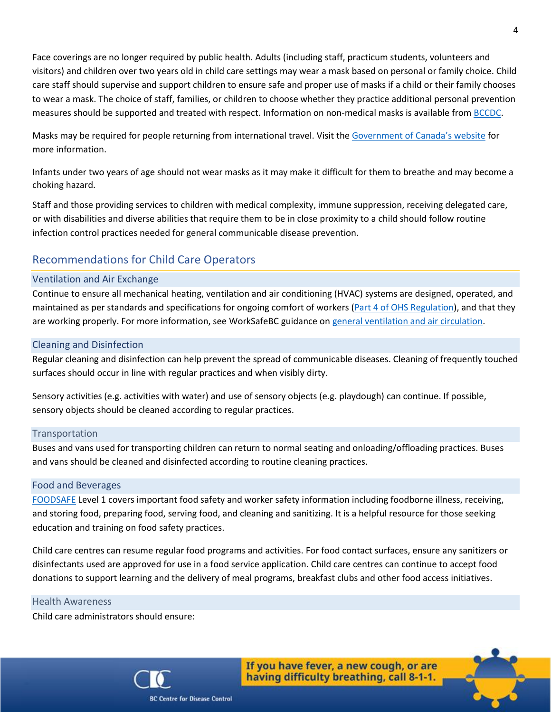Face coverings are no longer required by public health. Adults (including staff, practicum students, volunteers and visitors) and children over two years old in child care settings may wear a mask based on personal or family choice. Child care staff should supervise and support children to ensure safe and proper use of masks if a child or their family chooses to wear a mask. The choice of staff, families, or children to choose whether they practice additional personal prevention measures should be supported and treated with respect. Information on non-medical masks is available fro[m BCCDC.](http://www.bccdc.ca/health-info/diseases-conditions/covid-19/prevention-risks/masks)

Masks may be required for people returning from international travel. Visit the [Government of Canada's website](https://travel.gc.ca/travel-covid/travel-restrictions/covid-vaccinated-travellers-entering-canada#arrival) for more information.

Infants under two years of age should not wear masks as it may make it difficult for them to breathe and may become a choking hazard.

Staff and those providing services to children with medical complexity, immune suppression, receiving delegated care, or with disabilities and diverse abilities that require them to be in close proximity to a child should follow routine infection control practices needed for general communicable disease prevention.

# Recommendations for Child Care Operators

#### Ventilation and Air Exchange

Continue to ensure all mechanical heating, ventilation and air conditioning (HVAC) systems are designed, operated, and maintained as per standards and specifications for ongoing comfort of workers [\(Part 4 of OHS Regulation\)](https://www.worksafebc.com/en/law-policy/occupational-health-safety/searchable-ohs-regulation/ohs-regulation/part-04-general-conditions#SectionNumber:4.70), and that they are working properly. For more information, see WorkSafeBC guidance o[n general ventilation and air circulation.](https://www.worksafebc.com/en/resources/about-us/covid-19/general-ventilation-and-air-circulation-covid-19-faq?lang=en)

#### Cleaning and Disinfection

Regular cleaning and disinfection can help prevent the spread of communicable diseases. Cleaning of frequently touched surfaces should occur in line with regular practices and when visibly dirty.

Sensory activities (e.g. activities with water) and use of sensory objects (e.g. playdough) can continue. If possible, sensory objects should be cleaned according to regular practices.

#### Transportation

Buses and vans used for transporting children can return to normal seating and onloading/offloading practices. Buses and vans should be cleaned and disinfected according to routine cleaning practices.

#### Food and Beverages

[FOODSAFE](http://www.foodsafe.ca/index.html) Level 1 covers important food safety and worker safety information including foodborne illness, receiving, and storing food, preparing food, serving food, and cleaning and sanitizing. It is a helpful resource for those seeking education and training on food safety practices.

Child care centres can resume regular food programs and activities. For food contact surfaces, ensure any sanitizers or disinfectants used are approved for use in a food service application. Child care centres can continue to accept food donations to support learning and the delivery of meal programs, breakfast clubs and other food access initiatives.

#### Health Awareness

Child care administrators should ensure:



If you have fever, a new cough, or are having difficulty breathing, call 8-1-1.



**BC Centre for Disease Control**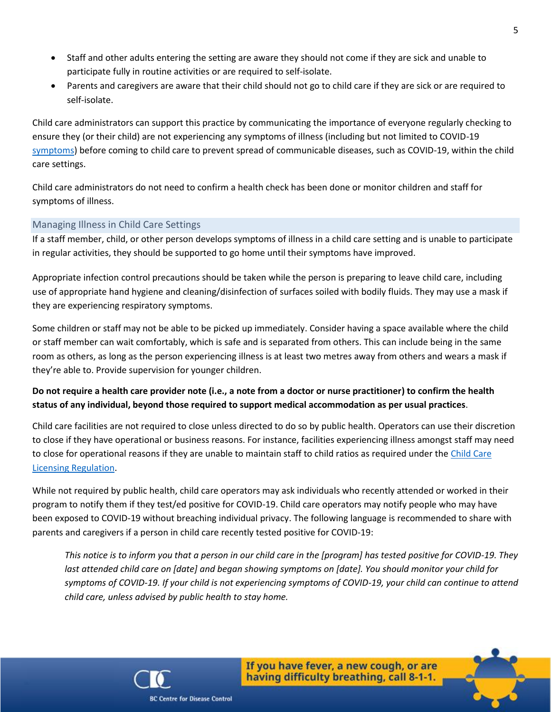- Staff and other adults entering the setting are aware they should not come if they are sick and unable to participate fully in routine activities or are required to self-isolate.
- Parents and caregivers are aware that their child should not go to child care if they are sick or are required to self-isolate.

Child care administrators can support this practice by communicating the importance of everyone regularly checking to ensure they (or their child) are not experiencing any symptoms of illness (including but not limited to COVID-19 [symptoms\)](http://www.bccdc.ca/health-info/diseases-conditions/covid-19/about-covid-19/symptoms) before coming to child care to prevent spread of communicable diseases, such as COVID-19, within the child care settings.

Child care administrators do not need to confirm a health check has been done or monitor children and staff for symptoms of illness.

#### Managing Illness in Child Care Settings

If a staff member, child, or other person develops symptoms of illness in a child care setting and is unable to participate in regular activities, they should be supported to go home until their symptoms have improved.

Appropriate infection control precautions should be taken while the person is preparing to leave child care, including use of appropriate hand hygiene and cleaning/disinfection of surfaces soiled with bodily fluids. They may use a mask if they are experiencing respiratory symptoms.

Some children or staff may not be able to be picked up immediately. Consider having a space available where the child or staff member can wait comfortably, which is safe and is separated from others. This can include being in the same room as others, as long as the person experiencing illness is at least two metres away from others and wears a mask if they're able to. Provide supervision for younger children.

## **Do not require a health care provider note (i.e., a note from a doctor or nurse practitioner) to confirm the health status of any individual, beyond those required to support medical accommodation as per usual practices**.

Child care facilities are not required to close unless directed to do so by public health. Operators can use their discretion to close if they have operational or business reasons. For instance, facilities experiencing illness amongst staff may need to close for operational reasons if they are unable to maintain staff to child ratios as required under the Child Care [Licensing Regulation.](https://www.bclaws.gov.bc.ca/civix/document/id/complete/statreg/332_2007)

While not required by public health, child care operators may ask individuals who recently attended or worked in their program to notify them if they test/ed positive for COVID-19. Child care operators may notify people who may have been exposed to COVID-19 without breaching individual privacy. The following language is recommended to share with parents and caregivers if a person in child care recently tested positive for COVID-19:

*This notice is to inform you that a person in our child care in the [program] has tested positive for COVID-19. They last attended child care on [date] and began showing symptoms on [date]. You should monitor your child for symptoms of COVID-19. If your child is not experiencing symptoms of COVID-19, your child can continue to attend child care, unless advised by public health to stay home.*



If you have fever, a new cough, or are having difficulty breathing, call 8-1-1.



**BC Centre for Disease Control**